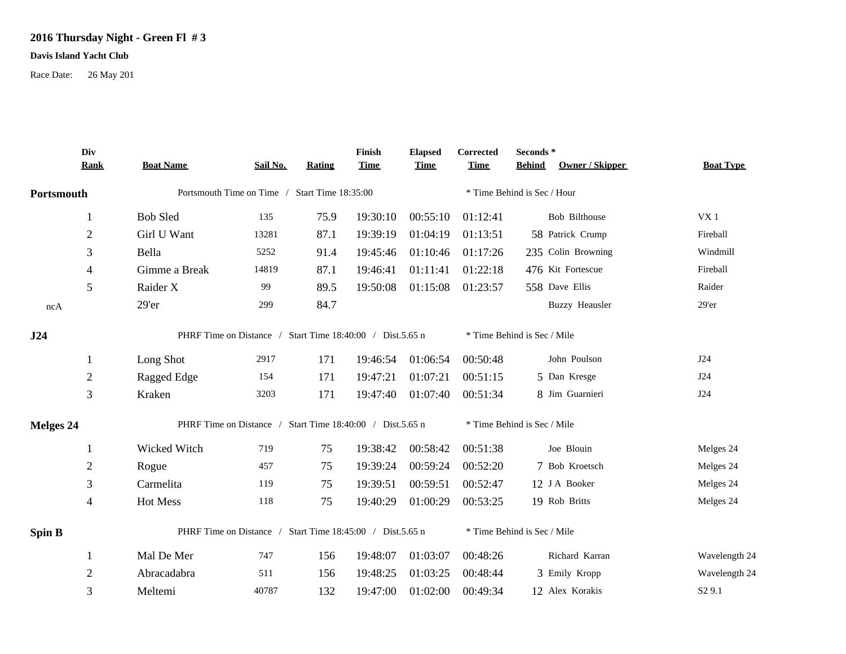## **2016 Thursday Night - Green Fl # 3**

## **Davis Island Yacht Club**

Race Date: 26 May 201

|               | Div<br><b>Rank</b> | <b>Boat Name</b>                                          | Sail No. | <b>Rating</b> | Finish<br><b>Time</b> | <b>Elapsed</b><br><b>Time</b> | Corrected<br><b>Time</b>    | Seconds *<br><b>Behind</b>  | <b>Owner / Skipper</b> | <b>Boat Type</b>   |
|---------------|--------------------|-----------------------------------------------------------|----------|---------------|-----------------------|-------------------------------|-----------------------------|-----------------------------|------------------------|--------------------|
| Portsmouth    |                    | Portsmouth Time on Time / Start Time 18:35:00             |          |               |                       |                               | * Time Behind is Sec / Hour |                             |                        |                    |
|               |                    |                                                           |          |               |                       |                               |                             |                             |                        |                    |
|               |                    | <b>Bob Sled</b>                                           | 135      | 75.9          | 19:30:10              | 00:55:10                      | 01:12:41                    |                             | Bob Bilthouse          | VX <sub>1</sub>    |
|               | $\boldsymbol{2}$   | Girl U Want                                               | 13281    | 87.1          | 19:39:19              | 01:04:19                      | 01:13:51                    |                             | 58 Patrick Crump       | Fireball           |
|               | 3                  | Bella                                                     | 5252     | 91.4          | 19:45:46              | 01:10:46                      | 01:17:26                    |                             | 235 Colin Browning     | Windmill           |
|               | 4                  | Gimme a Break                                             | 14819    | 87.1          | 19:46:41              | 01:11:41                      | 01:22:18                    |                             | 476 Kit Fortescue      | Fireball           |
|               | 5                  | Raider X                                                  | 99       | 89.5          | 19:50:08              | 01:15:08                      | 01:23:57                    |                             | 558 Dave Ellis         | Raider             |
| ncA           |                    | 29'er                                                     | 299      | 84.7          |                       |                               |                             |                             | <b>Buzzy Heausler</b>  | 29'er              |
| J24           |                    | PHRF Time on Distance / Start Time 18:40:00 / Dist.5.65 n |          |               |                       |                               |                             | * Time Behind is Sec / Mile |                        |                    |
|               | 1                  | Long Shot                                                 | 2917     | 171           | 19:46:54              | 01:06:54                      | 00:50:48                    |                             | John Poulson           | J24                |
|               | $\boldsymbol{2}$   | Ragged Edge                                               | 154      | 171           | 19:47:21              | 01:07:21                      | 00:51:15                    |                             | 5 Dan Kresge           | J24                |
|               | 3                  | Kraken                                                    | 3203     | 171           | 19:47:40              | 01:07:40                      | 00:51:34                    |                             | 8 Jim Guarnieri        | J24                |
| Melges 24     |                    | PHRF Time on Distance / Start Time 18:40:00 / Dist.5.65 n |          |               |                       |                               | * Time Behind is Sec / Mile |                             |                        |                    |
|               | 1                  | Wicked Witch                                              | 719      | 75            | 19:38:42              | 00:58:42                      | 00:51:38                    |                             | Joe Blouin             | Melges 24          |
|               | $\overline{2}$     | Rogue                                                     | 457      | 75            | 19:39:24              | 00:59:24                      | 00:52:20                    |                             | 7 Bob Kroetsch         | Melges 24          |
|               | 3                  | Carmelita                                                 | 119      | 75            | 19:39:51              | 00:59:51                      | 00:52:47                    |                             | 12 J A Booker          | Melges 24          |
|               | 4                  | Hot Mess                                                  | 118      | 75            | 19:40:29              | 01:00:29                      | 00:53:25                    |                             | 19 Rob Britts          | Melges 24          |
| <b>Spin B</b> |                    | PHRF Time on Distance / Start Time 18:45:00 / Dist.5.65 n |          |               |                       |                               | * Time Behind is Sec / Mile |                             |                        |                    |
|               | 1                  | Mal De Mer                                                | 747      | 156           | 19:48:07              | 01:03:07                      | 00:48:26                    |                             | Richard Karran         | Wavelength 24      |
|               | $\overline{2}$     | Abracadabra                                               | 511      | 156           | 19:48:25              | 01:03:25                      | 00:48:44                    |                             | 3 Emily Kropp          | Wavelength 24      |
|               | 3                  | Meltemi                                                   | 40787    | 132           | 19:47:00              | 01:02:00                      | 00:49:34                    |                             | 12 Alex Korakis        | S <sub>2</sub> 9.1 |